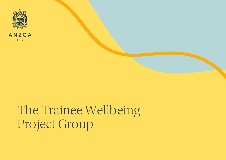



# The Trainee Wellbeing Project Group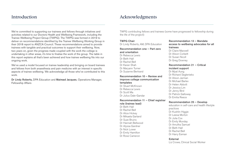We're committed to supporting our trainees and fellows through initiatives and activities related to our Doctors Health and Wellbeing Framework, including the Trainee Wellbeing Project Group (TWPG). The TWPG was formed in 2019 to deliver on recommendations identified by the Trainee Wellbeing Working Group in their 2018 report to ANZCA Council. These recommendations aimed to provide trainees with tangible and practical outcomes to support their wellbeing. Now, two years on, given the progress made coupled with the work the college is undertaking in other areas, it's time to finalise the work of the group. The table in this report explains all that's been achieved and how trainee wellbeing fits into our ongoing work.

We've used a model focused on trainee leadership and bringing on board trainees and fellows from both anaesthesia and pain medicine with an interest in specific aspects of trainee wellbeing. We acknowledge all those who've contributed to this work.

Dr Lindy Roberts, DPA Education and Mairead Jacques, Operations Manager, Fellowship Affairs

# Introduction Acknowledgments

TWPG contributing fellows and trainees (some have progressed to fellowship during the life of the project):

# TWPG Chair Dr Lindy Roberts, AM, DPA Education

Recommendation one – Part zero and orientation Dr Rebecca Lewis Dr Beth Hall Dr Rachel Bell Dr Karan Shah Dr Maryann Turner Dr Suzanne Bertrand

### Recommendation 10 – Review and improve college communication templates

Dr Stuart McKnown Dr Rebecca Lewis Dr Scott Ma Dr Julius Dale-Gandar

#### Recommendation 11 – Chief registrar

role (trainee lead) Dr Beth Hall Dr Rachel Bell Dr Alice Hickey Dr Mikaela Garland Dr Suze Bruins Dr Hannah Bellwood Dr Alyssa Gardner Dr Nick Lower Dr Emily Hamilton Dr Rose Cameron

Recommendation 13 – Mandate access to wellbeing advocates for all trainees Dr Claire Maxwell Dr Alison Corbett Dr Susan Nicoll Dr Greg Downey Recommendation 21 – Critical

# incident support

Dr Myat Aung Dr Richard Seglenieks Dr Alison Jarman Dr Michael Barlev Dr Helen Abbott Dr Jessica Lim Dr Jenny Bird Dr Patrick Galloway Dr Emilia Reece

#### Recommendation 25 – Develop

education in self-care and health lifestyle practices Dr Kushlin Higgie Dr Leesa Morton Dr Julia Cox Dr Emily Munday Dr Amutha Samuel Dr Beth Hall Dr Rachel Bell Dr Harry Eeman

#### External

Liz Crowe, Clinical Social Worker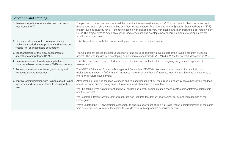| <b>Education and Training</b>                                                                                                                   |                                                                                                                                                                                                                                                                                                                                                                                                                                                                                                                                      |
|-------------------------------------------------------------------------------------------------------------------------------------------------|--------------------------------------------------------------------------------------------------------------------------------------------------------------------------------------------------------------------------------------------------------------------------------------------------------------------------------------------------------------------------------------------------------------------------------------------------------------------------------------------------------------------------------------|
| 1. Review integration of orientation and part zero<br>resources into IT.                                                                        | The part zero course has been renamed the "introduction to anaesthesia course". Course content is being reviewed and<br>redeveloped into a hybrid model (online and face-to-face course). This is funded by the Specialist Training Program (STP)<br>project "building capacity for STP trainee wellbeing with blended delivery workshops" and is on track to be delivered in early<br>2022. The project aims to establish a centralised curriculum, and develop a new eLearning module to complement the<br>face-to-face component. |
| 2. Communications about IT to reinforce it's a<br>preliminary period where program and trainee are<br>testing "fit" of anaesthesia as a career. | This'll be addressed with the course development under recommendation one.                                                                                                                                                                                                                                                                                                                                                                                                                                                           |
| 3. Standardisation of the initial assessment of<br>anaesthetic competence (IAAC).                                                               | The Competency-Based Medical Education working group is addressing this as part of the training program evolution<br>project. The working group is developing and piloting a standardised IAAC MCQ in 2022 for potential delivery in 2023.                                                                                                                                                                                                                                                                                           |
| 4. Review assessment load including balance of<br>workplace-based assessments (WBA) and exams.                                                  | This'll be considered as part of further review of the assessment load within the ongoing programmatic approach to<br>assessment.                                                                                                                                                                                                                                                                                                                                                                                                    |
| 5. Robust process for monitoring, evaluating and<br>reviewing training resources.                                                               | The ANZCA Education Executive Management Committee (EEMC) is overseeing development of a monitoring and<br>evaluation framework in 2022 that will introduce more robust methods of tracking, reporting and feedback on activities to<br>inform their future development.                                                                                                                                                                                                                                                             |
| 6. Improve communication with trainees about trainee<br>resources and explore methods to increase their<br>use.                                 | After listening to trainee feedback, a needs analysis and updating of our resources is underway. We've heard your feedback<br>about Networks and are doing an audit to ascertain which resources are outdated.                                                                                                                                                                                                                                                                                                                       |
|                                                                                                                                                 | We'll be asking what trainees want and how you use our current communication channels (the eNewsletters, social media<br>and the website).                                                                                                                                                                                                                                                                                                                                                                                           |
|                                                                                                                                                 | We'll explore different ways to deliver resources and look into the delivery of a webinar series and increase use of the<br>library guides.                                                                                                                                                                                                                                                                                                                                                                                          |
|                                                                                                                                                 | We've updated the ANZCA training agreement to ensure supervisors of training (SOTs) receive communication at the same<br>time as our trainees who've failed exams to provide them with appropriate supervisor support.                                                                                                                                                                                                                                                                                                               |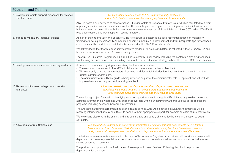| <b>Education and Training</b>                                          |                                                                                                                                                                                                                                                                                                                                                                                                                                                                                                        |
|------------------------------------------------------------------------|--------------------------------------------------------------------------------------------------------------------------------------------------------------------------------------------------------------------------------------------------------------------------------------------------------------------------------------------------------------------------------------------------------------------------------------------------------------------------------------------------------|
| 7. Develop immediate support processes for trainees<br>who fail exams. | Comlimentary trainee access to EAP is now regularly publicised,<br>and included within communications notifying trainees of exam results.                                                                                                                                                                                                                                                                                                                                                              |
|                                                                        | ANZCA hosts a one-day face to face workshop - Fundamentals of Success: Primary Exam which is facilitated by a team<br>of primary examiners and a specialist counsellor. The workshop doesn't replace the existing remediation interview process<br>but is delivered in conjunction with the one-to-one interview for unsuccessful candidates and their SOTs. When COVID-19<br>restrictions ease, these workshops will resume in person.                                                                |
| 8. Introduce mandatory feedback training                               | As part of training evolution, the Educator Skills Project Group outcomes included recommendations on mandatory<br>training for new supervisors. An SOT induction eLearning module is in development and will incorporate tips for feedback<br>conversations. The module is scheduled to be launched at the ANZCA ASM in 2022.                                                                                                                                                                         |
|                                                                        | We acknowledge that there's opportunity to improve feedback to exam candidates, as reflected in the 2020 ANZCA and<br>Medical Board of Australia (MBA) trainee survey results.                                                                                                                                                                                                                                                                                                                         |
|                                                                        | The ANZCA Educators Program (AEP) curriculum is currently under review, including the content on providing feedback.<br>Our learning and innovation team is building this into the future education strategy to benefit fellows, SIMGs and trainees.                                                                                                                                                                                                                                                   |
| 9. Develop trainee resources on receiving feedback.                    | A number of resources on giving and receiving feedback are available:<br>• Trainees now have access to the AEP which includes a module on delivering feedback.<br>• We're currently sourcing human-factors eLearning modules which includes feedback content in the context of the<br>clinical learning environment.<br>• The communicator role library guide is being reviewed as part of the communicator role STP project, and will include<br>improved resources on giving and receiving feedback. |
| 10. Review and improve college communication<br>templates.             | All trainee related correspondence across the college has been reviewed and<br>templates have been updated to reflect a more engaging, empathetic and<br>understanding approach to trainees and their training experience.                                                                                                                                                                                                                                                                             |
|                                                                        | The wellbeing project focused on identifying ways to support trainees to navigate difficult times by providing timely and<br>accurate information on where and what support is available within our community and through the college's support<br>programs, including access to Converge International.                                                                                                                                                                                               |
|                                                                        | The anaesthesia training agreement has been updated so that SOTs will be advised in advance that trainees will be<br>receiving information that may be difficult to handle without appropriate support, for example an exam failure notification.                                                                                                                                                                                                                                                      |
|                                                                        | We're working closely with the primary and final exam chairs and deputy chairs to facilitate communication to exam<br>candidates.                                                                                                                                                                                                                                                                                                                                                                      |
| 11. Chief registrar role (trainee lead)                                | Trainees and SOTs have been surveyed to understand which anaesthesia departments have a trainee<br>lead and what this role entails. Next steps are to finalise a role description for a trainee lead position<br>and promote this to departments for their use to improve trainee input into matters that affect them                                                                                                                                                                                  |
|                                                                        | The trainee representative is a leadership role for an ANZCA trainee (registrar or provisional fellow) within an anaesthetic<br>department. A trainee representative works alongside trainees and consultants, addressing local issues for trainees and<br>voicing concerns to senior staff.                                                                                                                                                                                                           |
|                                                                        | The position description is in the final stages of review prior to being finalised. Following this, it will be promoted to<br>departments for their use.                                                                                                                                                                                                                                                                                                                                               |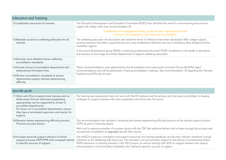| <b>Education and Training</b>                                                                                                                                                                                                                                                              |                                                                                                                                                                                                                                                                                                                                                                                                                                                                          |
|--------------------------------------------------------------------------------------------------------------------------------------------------------------------------------------------------------------------------------------------------------------------------------------------|--------------------------------------------------------------------------------------------------------------------------------------------------------------------------------------------------------------------------------------------------------------------------------------------------------------------------------------------------------------------------------------------------------------------------------------------------------------------------|
| 12. Leadership resources for trainees                                                                                                                                                                                                                                                      | The Education Development and Evaluation Committee (EDEC) has identified the need for more learning resources to<br>support all college roles (see recommendation 9).                                                                                                                                                                                                                                                                                                    |
|                                                                                                                                                                                                                                                                                            | A leadership and management library guide has been developed and will<br>continue to be updated as new resources are identified.                                                                                                                                                                                                                                                                                                                                         |
| 13. Mandate access to wellbeing advocates for all<br>trainees                                                                                                                                                                                                                              | The wellbeing advocate role description and networks terms of reference have been developed. With college support,<br>existing networks have been supported and new ones established. Networks are now in Aotearoa, New Zealand and the<br>Australian regions.                                                                                                                                                                                                           |
|                                                                                                                                                                                                                                                                                            | A document development group (DDG) is reviewing professional document PS49: Guidelines on the health of specialists<br>and trainees to encourage accredited departments to appoint wellbeing advocates.                                                                                                                                                                                                                                                                  |
| 14. Develop more detailed trainee wellbeing<br>accreditation standards.                                                                                                                                                                                                                    | These recommendations were addressed by the Accreditation and Learning Environment Group (ALEPG) report<br>recommendations and will be addressed in training accreditation redesign. See recommendation 18 regarding the Trainees<br>Experiencing Difficulty process.                                                                                                                                                                                                    |
| 15. Annual census of accredited departments with<br>bidirectional information flow.                                                                                                                                                                                                        |                                                                                                                                                                                                                                                                                                                                                                                                                                                                          |
| 16. Review accreditation standards to ensure<br>departments support trainees experiencing<br>difficulty.                                                                                                                                                                                   |                                                                                                                                                                                                                                                                                                                                                                                                                                                                          |
|                                                                                                                                                                                                                                                                                            |                                                                                                                                                                                                                                                                                                                                                                                                                                                                          |
| Specific goals                                                                                                                                                                                                                                                                             |                                                                                                                                                                                                                                                                                                                                                                                                                                                                          |
| 17. Work with EOs to explore how trainees who've<br>failed exams but are otherwise progressing<br>appropriately can be supported to remain in<br>accredited departments.<br>For those not in accredited departments, ensure<br>they have a nominated supervisor and mentor for<br>support. | The training and assessment team will work with the EO network and the primary and final exam committees to develop<br>strategies to support trainees with exam preparation and those who fail exams.                                                                                                                                                                                                                                                                    |
| 18. Rename trainee experiencing difficulty process.<br>Promote success stories.                                                                                                                                                                                                            | This recommendation has resulted in renaming the trainee experiencing difficulty process as the trainee support process<br>(TSP), as part of reducing stigma.                                                                                                                                                                                                                                                                                                            |
|                                                                                                                                                                                                                                                                                            | We're yet to explore promotion of success stories with the TSP. We welcome fellows who've been through the process and<br>successfully completed it to approach us with their stories.                                                                                                                                                                                                                                                                                   |
| 19. Increase personal support element of trainee<br>support process (TSP)/TPR with increased referral<br>to specific sources of support.                                                                                                                                                   | The ANZCA supervisor orientation and support resources, the training handbook, and all early indicator checklists include<br>reference to the Wellbeing SIG resources. The education unit now provides support to the director of professional affairs<br>(DPA) assessors in tracking trainees in the TSP process, as well as working with SOTs to support trainees who require<br>extra assistance. Communication templates also reference specific sources of support. |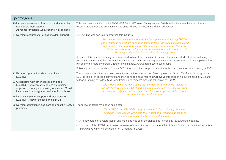| Specific goals                                                                                                                                                                                     |                                                                                                                                                                                                                                                                                                                                                                                                                                                                                                                                                                                                                                                                                                                                                                                                                                                                                                                                         |
|----------------------------------------------------------------------------------------------------------------------------------------------------------------------------------------------------|-----------------------------------------------------------------------------------------------------------------------------------------------------------------------------------------------------------------------------------------------------------------------------------------------------------------------------------------------------------------------------------------------------------------------------------------------------------------------------------------------------------------------------------------------------------------------------------------------------------------------------------------------------------------------------------------------------------------------------------------------------------------------------------------------------------------------------------------------------------------------------------------------------------------------------------------|
| 20. Increase awareness of return to work strategies<br>and flexible work options.<br>Advocate for flexible work options in all regions.                                                            | This need was identified by the 2020 MBA Medical Training Survey results. Collaboration between the education and<br>research, and policy and communications units will see this recommendation addressed.                                                                                                                                                                                                                                                                                                                                                                                                                                                                                                                                                                                                                                                                                                                              |
| 21. Develop resources for critical incident support.                                                                                                                                               | STP funding was secured to progress this initiative.<br>The college has now launched a <b>toolkit</b> for supervisors of training (SOTs),<br>senior trainees and others to support trainees following critical incidents and<br>to promote a culture of debriefing withing training departments. The toolkit<br>includes online tools and a framework on when and how to run a debrief<br>following a critical incident or other distressing event.<br>As part of this process, focus groups were held to hear from trainees, SOTs, and others interested in trainee wellbeing. The<br>aim was to understand the current concerns and barriers to supporting trainees and to discover what skills people need to<br>run debriefing more comfortably. Expert consultant Liz Crowe ran these focus groups.<br>Following the toolkit launch in October 2021, there are plans for promoting the toolkit and resources more broadly in 2022. |
| 22. Broaden approach to diversity to include<br>LGBTIQ+.                                                                                                                                           | These recommendations are being investigated by the Inclusion and Diversity Working Group. The focus of this group in<br>2021 is to look at college staff first and then develop a road map that will evolve into supporting our trainees, SIMGs and<br>fellows. Planning for fellow, SIMG and trainee involvement/impact is scheduled for 2022.<br>The CPD Committee is including the "gender non-conforming training" in<br>the CPD library guide for CPD participants (including provisional fellows) to<br>access. Currently, this can be claimed under knowledge and skills 'learning<br>session' for one credit per hour.                                                                                                                                                                                                                                                                                                         |
| 23. Collaborate with other colleges and peak<br>LGBTIQ+ representative bodies on defining<br>approach to safety and sharing resources. Could<br>include vertical integration with medical schools. |                                                                                                                                                                                                                                                                                                                                                                                                                                                                                                                                                                                                                                                                                                                                                                                                                                                                                                                                         |
| 24. Needs analysis of support and resources for<br>LGBTIQ+ fellows, trainees and SIMGs.                                                                                                            |                                                                                                                                                                                                                                                                                                                                                                                                                                                                                                                                                                                                                                                                                                                                                                                                                                                                                                                                         |
| 25. Develop education in self-care and healthy lifestyle The following tasks have been completed:<br>practices.                                                                                    | The ANZCA and FPM CPD program now includes wellbeing education<br>sessions which accrue CPD credits. A health and wellbeing question is<br>included in regular CPD participant planning.<br>A library guide on doctors' health and wellbeing has been developed and is regularly reviewed and updated.<br>• Members of the TWPG are involved in review of the professional document PS49 Guidelines on the health of specialists<br>and trainees which will be piloted for 12 months in 2022.                                                                                                                                                                                                                                                                                                                                                                                                                                           |
|                                                                                                                                                                                                    |                                                                                                                                                                                                                                                                                                                                                                                                                                                                                                                                                                                                                                                                                                                                                                                                                                                                                                                                         |

**Contract Contract Contract Contract**